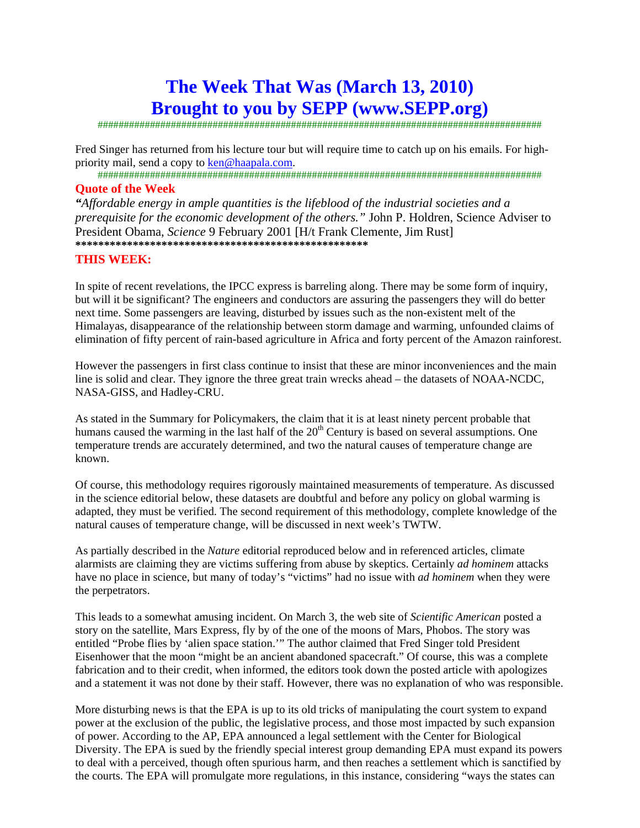# **The Week That Was (March 13, 2010) Brought to you by SEPP (www.SEPP.org)**

#####################################################################################

Fred Singer has returned from his lecture tour but will require time to catch up on his emails. For highpriority mail, send a copy to ken@haapala.com.

#####################################################################################

#### **Quote of the Week**

*"Affordable energy in ample quantities is the lifeblood of the industrial societies and a prerequisite for the economic development of the others."* John P. Holdren, Science Adviser to President Obama, *Science* 9 February 2001 [H/t Frank Clemente, Jim Rust] **\*\*\*\*\*\*\*\*\*\*\*\*\*\*\*\*\*\*\*\*\*\*\*\*\*\*\*\*\*\*\*\*\*\*\*\*\*\*\*\*\*\*\*\*\*\*\*\*\*\*\*** 

### **THIS WEEK:**

In spite of recent revelations, the IPCC express is barreling along. There may be some form of inquiry, but will it be significant? The engineers and conductors are assuring the passengers they will do better next time. Some passengers are leaving, disturbed by issues such as the non-existent melt of the Himalayas, disappearance of the relationship between storm damage and warming, unfounded claims of elimination of fifty percent of rain-based agriculture in Africa and forty percent of the Amazon rainforest.

However the passengers in first class continue to insist that these are minor inconveniences and the main line is solid and clear. They ignore the three great train wrecks ahead – the datasets of NOAA-NCDC, NASA-GISS, and Hadley-CRU.

As stated in the Summary for Policymakers, the claim that it is at least ninety percent probable that humans caused the warming in the last half of the  $20<sup>th</sup>$  Century is based on several assumptions. One temperature trends are accurately determined, and two the natural causes of temperature change are known.

Of course, this methodology requires rigorously maintained measurements of temperature. As discussed in the science editorial below, these datasets are doubtful and before any policy on global warming is adapted, they must be verified. The second requirement of this methodology, complete knowledge of the natural causes of temperature change, will be discussed in next week's TWTW.

As partially described in the *Nature* editorial reproduced below and in referenced articles, climate alarmists are claiming they are victims suffering from abuse by skeptics. Certainly *ad hominem* attacks have no place in science, but many of today's "victims" had no issue with *ad hominem* when they were the perpetrators.

This leads to a somewhat amusing incident. On March 3, the web site of *Scientific American* posted a story on the satellite, Mars Express, fly by of the one of the moons of Mars, Phobos. The story was entitled "Probe flies by 'alien space station.'" The author claimed that Fred Singer told President Eisenhower that the moon "might be an ancient abandoned spacecraft." Of course, this was a complete fabrication and to their credit, when informed, the editors took down the posted article with apologizes and a statement it was not done by their staff. However, there was no explanation of who was responsible.

More disturbing news is that the EPA is up to its old tricks of manipulating the court system to expand power at the exclusion of the public, the legislative process, and those most impacted by such expansion of power. According to the AP, EPA announced a legal settlement with the Center for Biological Diversity. The EPA is sued by the friendly special interest group demanding EPA must expand its powers to deal with a perceived, though often spurious harm, and then reaches a settlement which is sanctified by the courts. The EPA will promulgate more regulations, in this instance, considering "ways the states can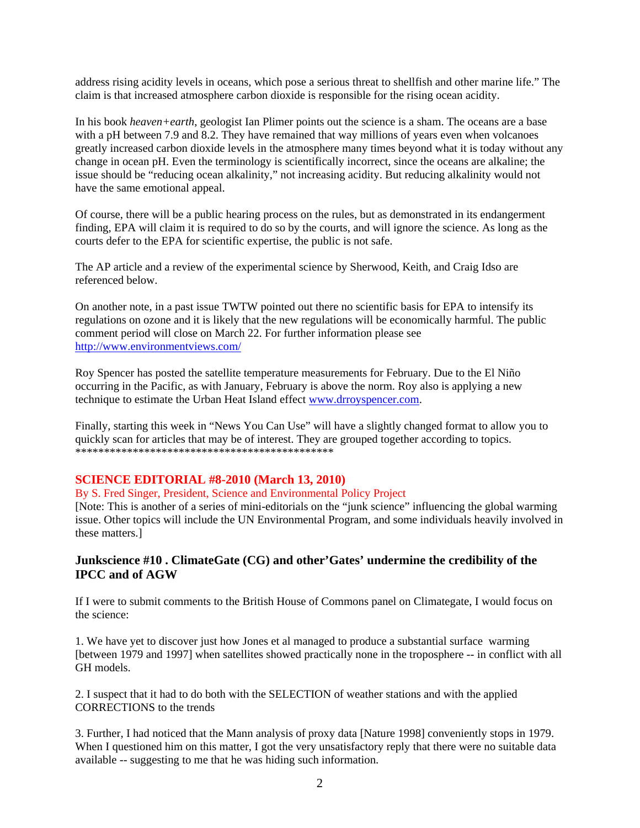address rising acidity levels in oceans, which pose a serious threat to shellfish and other marine life." The claim is that increased atmosphere carbon dioxide is responsible for the rising ocean acidity.

In his book *heaven+earth*, geologist Ian Plimer points out the science is a sham. The oceans are a base with a pH between 7.9 and 8.2. They have remained that way millions of years even when volcanoes greatly increased carbon dioxide levels in the atmosphere many times beyond what it is today without any change in ocean pH. Even the terminology is scientifically incorrect, since the oceans are alkaline; the issue should be "reducing ocean alkalinity," not increasing acidity. But reducing alkalinity would not have the same emotional appeal.

Of course, there will be a public hearing process on the rules, but as demonstrated in its endangerment finding, EPA will claim it is required to do so by the courts, and will ignore the science. As long as the courts defer to the EPA for scientific expertise, the public is not safe.

The AP article and a review of the experimental science by Sherwood, Keith, and Craig Idso are referenced below.

On another note, in a past issue TWTW pointed out there no scientific basis for EPA to intensify its regulations on ozone and it is likely that the new regulations will be economically harmful. The public comment period will close on March 22. For further information please see http://www.environmentviews.com/

Roy Spencer has posted the satellite temperature measurements for February. Due to the El Niño occurring in the Pacific, as with January, February is above the norm. Roy also is applying a new technique to estimate the Urban Heat Island effect www.drroyspencer.com.

Finally, starting this week in "News You Can Use" will have a slightly changed format to allow you to quickly scan for articles that may be of interest. They are grouped together according to topics. \*\*\*\*\*\*\*\*\*\*\*\*\*\*\*\*\*\*\*\*\*\*\*\*\*\*\*\*\*\*\*\*\*\*\*\*\*\*\*\*\*\*\*\*\*

#### **SCIENCE EDITORIAL #8-2010 (March 13, 2010)**

By S. Fred Singer, President, Science and Environmental Policy Project

[Note: This is another of a series of mini-editorials on the "junk science" influencing the global warming issue. Other topics will include the UN Environmental Program, and some individuals heavily involved in these matters.]

### **Junkscience #10 . ClimateGate (CG) and other'Gates' undermine the credibility of the IPCC and of AGW**

If I were to submit comments to the British House of Commons panel on Climategate, I would focus on the science:

1. We have yet to discover just how Jones et al managed to produce a substantial surface warming [between 1979 and 1997] when satellites showed practically none in the troposphere -- in conflict with all GH models.

2. I suspect that it had to do both with the SELECTION of weather stations and with the applied CORRECTIONS to the trends

3. Further, I had noticed that the Mann analysis of proxy data [Nature 1998] conveniently stops in 1979. When I questioned him on this matter, I got the very unsatisfactory reply that there were no suitable data available -- suggesting to me that he was hiding such information.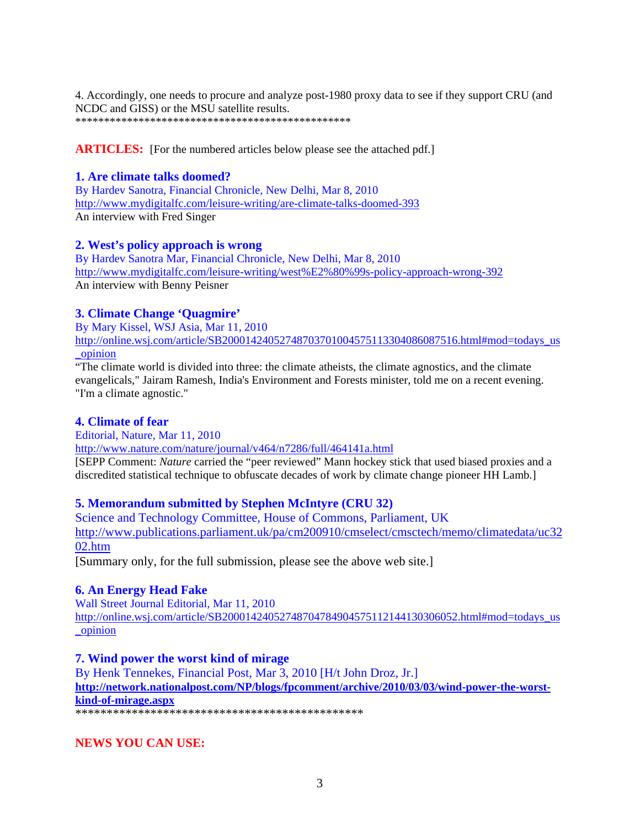4. Accordingly, one needs to procure and analyze post-1980 proxy data to see if they support CRU (and NCDC and GISS) or the MSU satellite results. \*\*\*\*\*\*\*\*\*\*\*\*\*\*\*\*\*\*\*\*\*\*\*\*\*\*\*\*\*\*\*\*\*\*\*\*\*\*\*\*\*\*\*\*\*\*\*\*

**ARTICLES:** [For the numbered articles below please see the attached pdf.]

# **1. Are climate talks doomed?**

By Hardev Sanotra, Financial Chronicle, New Delhi, Mar 8, 2010 http://www.mydigitalfc.com/leisure-writing/are-climate-talks-doomed-393 An interview with Fred Singer

# **2. West's policy approach is wrong**

By Hardev Sanotra Mar, Financial Chronicle, New Delhi, Mar 8, 2010 http://www.mydigitalfc.com/leisure-writing/west%E2%80%99s-policy-approach-wrong-392 An interview with Benny Peisner

# **3. Climate Change 'Quagmire'**

By Mary Kissel, WSJ Asia, Mar 11, 2010 http://online.wsj.com/article/SB20001424052748703701004575113304086087516.html#mod=todays\_us \_opinion

"The climate world is divided into three: the climate atheists, the climate agnostics, and the climate evangelicals," Jairam Ramesh, India's Environment and Forests minister, told me on a recent evening. "I'm a climate agnostic."

# **4. Climate of fear**

Editorial, Nature, Mar 11, 2010

http://www.nature.com/nature/journal/v464/n7286/full/464141a.html

[SEPP Comment: *Nature* carried the "peer reviewed" Mann hockey stick that used biased proxies and a discredited statistical technique to obfuscate decades of work by climate change pioneer HH Lamb.]

# **5. Memorandum submitted by Stephen McIntyre (CRU 32)**

Science and Technology Committee, House of Commons, Parliament, UK http://www.publications.parliament.uk/pa/cm200910/cmselect/cmsctech/memo/climatedata/uc32 02.htm

[Summary only, for the full submission, please see the above web site.]

# **6. An Energy Head Fake**

Wall Street Journal Editorial, Mar 11, 2010 http://online.wsj.com/article/SB20001424052748704784904575112144130306052.html#mod=todays\_us \_opinion

# **7. Wind power the worst kind of mirage**

By Henk Tennekes, Financial Post, Mar 3, 2010 [H/t John Droz, Jr.] **http://network.nationalpost.com/NP/blogs/fpcomment/archive/2010/03/03/wind-power-the-worstkind-of-mirage.aspx**

\*\*\*\*\*\*\*\*\*\*\*\*\*\*\*\*\*\*\*\*\*\*\*\*\*\*\*\*\*\*\*\*\*\*\*\*\*\*\*\*\*\*\*\*\*\*

**NEWS YOU CAN USE:**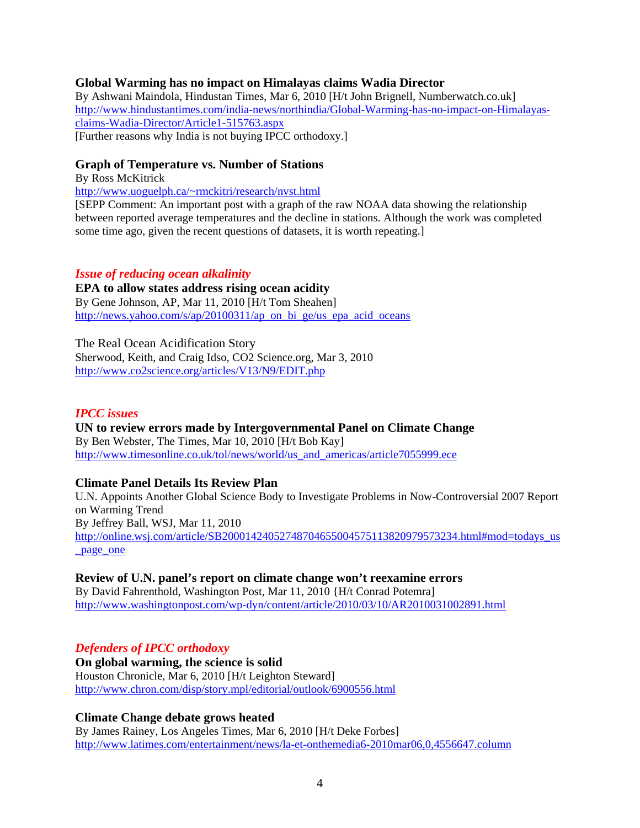### **Global Warming has no impact on Himalayas claims Wadia Director**

By Ashwani Maindola, Hindustan Times, Mar 6, 2010 [H/t John Brignell, Numberwatch.co.uk] http://www.hindustantimes.com/india-news/northindia/Global-Warming-has-no-impact-on-Himalayasclaims-Wadia-Director/Article1-515763.aspx [Further reasons why India is not buying IPCC orthodoxy.]

#### **Graph of Temperature vs. Number of Stations**

By Ross McKitrick

http://www.uoguelph.ca/~rmckitri/research/nvst.html

[SEPP Comment: An important post with a graph of the raw NOAA data showing the relationship between reported average temperatures and the decline in stations. Although the work was completed some time ago, given the recent questions of datasets, it is worth repeating.]

### *Issue of reducing ocean alkalinity*

**EPA to allow states address rising ocean acidity**  By Gene Johnson, AP, Mar 11, 2010 [H/t Tom Sheahen] http://news.yahoo.com/s/ap/20100311/ap\_on\_bi\_ge/us\_epa\_acid\_oceans

The Real Ocean Acidification Story Sherwood, Keith, and Craig Idso, CO2 Science.org, Mar 3, 2010 http://www.co2science.org/articles/V13/N9/EDIT.php

#### *IPCC issues*

**UN to review errors made by Intergovernmental Panel on Climate Change**  By Ben Webster, The Times, Mar 10, 2010 [H/t Bob Kay] http://www.timesonline.co.uk/tol/news/world/us\_and\_americas/article7055999.ece

#### **Climate Panel Details Its Review Plan**

U.N. Appoints Another Global Science Body to Investigate Problems in Now-Controversial 2007 Report on Warming Trend By Jeffrey Ball, WSJ, Mar 11, 2010 http://online.wsj.com/article/SB20001424052748704655004575113820979573234.html#mod=todays\_us \_page\_one

**Review of U.N. panel's report on climate change won't reexamine errors**  By David Fahrenthold, Washington Post, Mar 11, 2010 {H/t Conrad Potemra] http://www.washingtonpost.com/wp-dyn/content/article/2010/03/10/AR2010031002891.html

# *Defenders of IPCC orthodoxy*

**On global warming, the science is solid**  Houston Chronicle, Mar 6, 2010 [H/t Leighton Steward] http://www.chron.com/disp/story.mpl/editorial/outlook/6900556.html

# **Climate Change debate grows heated**

By James Rainey, Los Angeles Times, Mar 6, 2010 [H/t Deke Forbes] http://www.latimes.com/entertainment/news/la-et-onthemedia6-2010mar06,0,4556647.column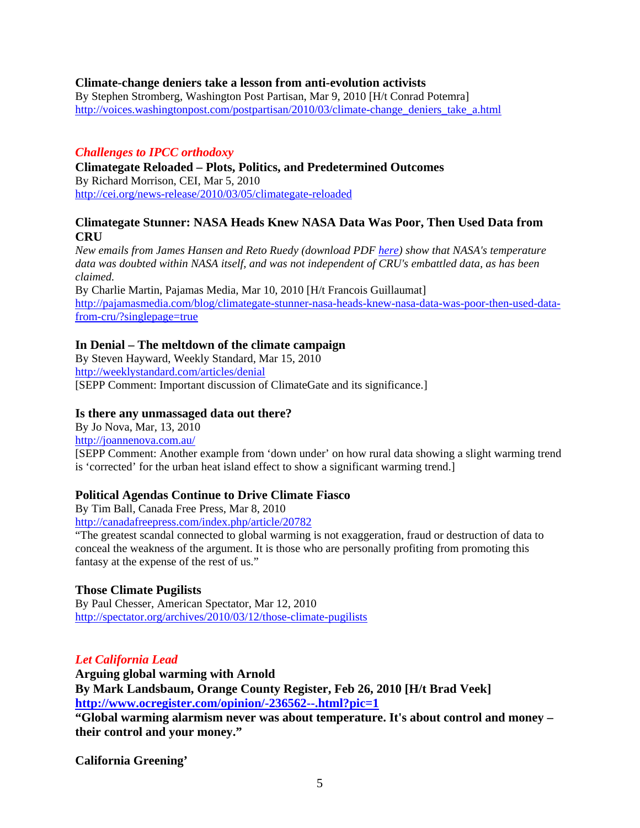### **Climate-change deniers take a lesson from anti-evolution activists**

By Stephen Stromberg, Washington Post Partisan, Mar 9, 2010 [H/t Conrad Potemra] http://voices.washingtonpost.com/postpartisan/2010/03/climate-change\_deniers\_take\_a.html

# *Challenges to IPCC orthodoxy*

**Climategate Reloaded – Plots, Politics, and Predetermined Outcomes**  By Richard Morrison, CEI, Mar 5, 2010 http://cei.org/news-release/2010/03/05/climategate-reloaded

# **Climategate Stunner: NASA Heads Knew NASA Data Was Poor, Then Used Data from CRU**

*New emails from James Hansen and Reto Ruedy (download PDF here) show that NASA's temperature data was doubted within NASA itself, and was not independent of CRU's embattled data, as has been claimed.*

By Charlie Martin, Pajamas Media, Mar 10, 2010 [H/t Francois Guillaumat] http://pajamasmedia.com/blog/climategate-stunner-nasa-heads-knew-nasa-data-was-poor-then-used-datafrom-cru/?singlepage=true

### **In Denial – The meltdown of the climate campaign**

By Steven Hayward, Weekly Standard, Mar 15, 2010 http://weeklystandard.com/articles/denial [SEPP Comment: Important discussion of ClimateGate and its significance.]

### **Is there any unmassaged data out there?**

By Jo Nova, Mar, 13, 2010 http://joannenova.com.au/

[SEPP Comment: Another example from 'down under' on how rural data showing a slight warming trend is 'corrected' for the urban heat island effect to show a significant warming trend.]

# **Political Agendas Continue to Drive Climate Fiasco**

By Tim Ball, Canada Free Press, Mar 8, 2010

http://canadafreepress.com/index.php/article/20782

"The greatest scandal connected to global warming is not exaggeration, fraud or destruction of data to conceal the weakness of the argument. It is those who are personally profiting from promoting this fantasy at the expense of the rest of us."

# **Those Climate Pugilists**

By Paul Chesser, American Spectator, Mar 12, 2010 http://spectator.org/archives/2010/03/12/those-climate-pugilists

# *Let California Lead*

**Arguing global warming with Arnold By Mark Landsbaum, Orange County Register, Feb 26, 2010 [H/t Brad Veek] http://www.ocregister.com/opinion/-236562--.html?pic=1**

**"Global warming alarmism never was about temperature. It's about control and money – their control and your money."** 

**California Greening'**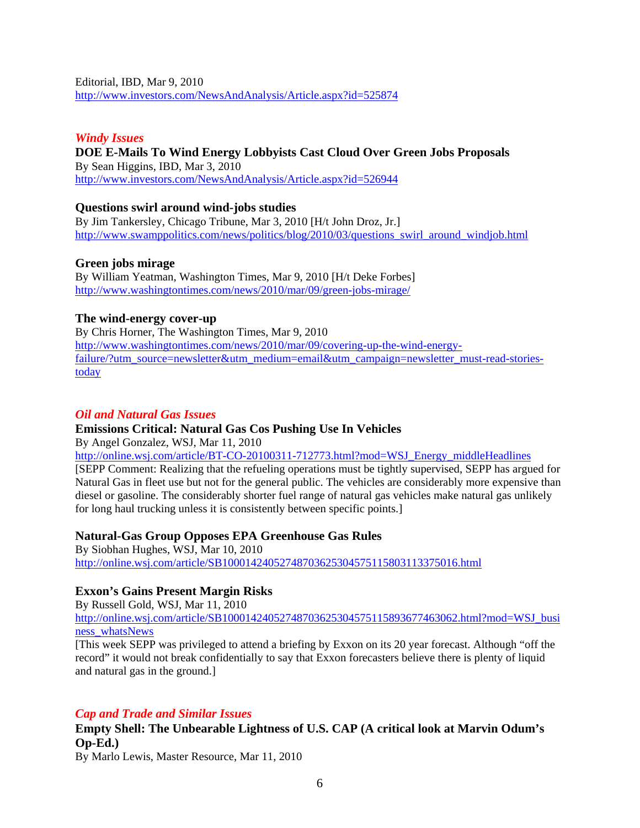Editorial, IBD, Mar 9, 2010 http://www.investors.com/NewsAndAnalysis/Article.aspx?id=525874

# *Windy Issues*

### **DOE E-Mails To Wind Energy Lobbyists Cast Cloud Over Green Jobs Proposals**  By Sean Higgins, IBD, Mar 3, 2010 http://www.investors.com/NewsAndAnalysis/Article.aspx?id=526944

### **Questions swirl around wind-jobs studies**

By Jim Tankersley, Chicago Tribune, Mar 3, 2010 [H/t John Droz, Jr.] http://www.swamppolitics.com/news/politics/blog/2010/03/questions\_swirl\_around\_windjob.html

#### **Green jobs mirage**

By William Yeatman, Washington Times, Mar 9, 2010 [H/t Deke Forbes] http://www.washingtontimes.com/news/2010/mar/09/green-jobs-mirage/

### **The wind-energy cover-up**

By Chris Horner, The Washington Times, Mar 9, 2010 http://www.washingtontimes.com/news/2010/mar/09/covering-up-the-wind-energyfailure/?utm\_source=newsletter&utm\_medium=email&utm\_campaign=newsletter\_must-read-storiestoday

# *Oil and Natural Gas Issues*

# **Emissions Critical: Natural Gas Cos Pushing Use In Vehicles**

By Angel Gonzalez, WSJ, Mar 11, 2010

http://online.wsj.com/article/BT-CO-20100311-712773.html?mod=WSJ\_Energy\_middleHeadlines [SEPP Comment: Realizing that the refueling operations must be tightly supervised, SEPP has argued for Natural Gas in fleet use but not for the general public. The vehicles are considerably more expensive than diesel or gasoline. The considerably shorter fuel range of natural gas vehicles make natural gas unlikely for long haul trucking unless it is consistently between specific points.]

#### **Natural-Gas Group Opposes EPA Greenhouse Gas Rules**

By Siobhan Hughes, WSJ, Mar 10, 2010 http://online.wsj.com/article/SB10001424052748703625304575115803113375016.html

# **Exxon's Gains Present Margin Risks**

By Russell Gold, WSJ, Mar 11, 2010

http://online.wsj.com/article/SB10001424052748703625304575115893677463062.html?mod=WSJ\_busi ness\_whatsNews

[This week SEPP was privileged to attend a briefing by Exxon on its 20 year forecast. Although "off the record" it would not break confidentially to say that Exxon forecasters believe there is plenty of liquid and natural gas in the ground.]

# *Cap and Trade and Similar Issues*

**Empty Shell: The Unbearable Lightness of U.S. CAP (A critical look at Marvin Odum's Op-Ed.)** 

By Marlo Lewis, Master Resource, Mar 11, 2010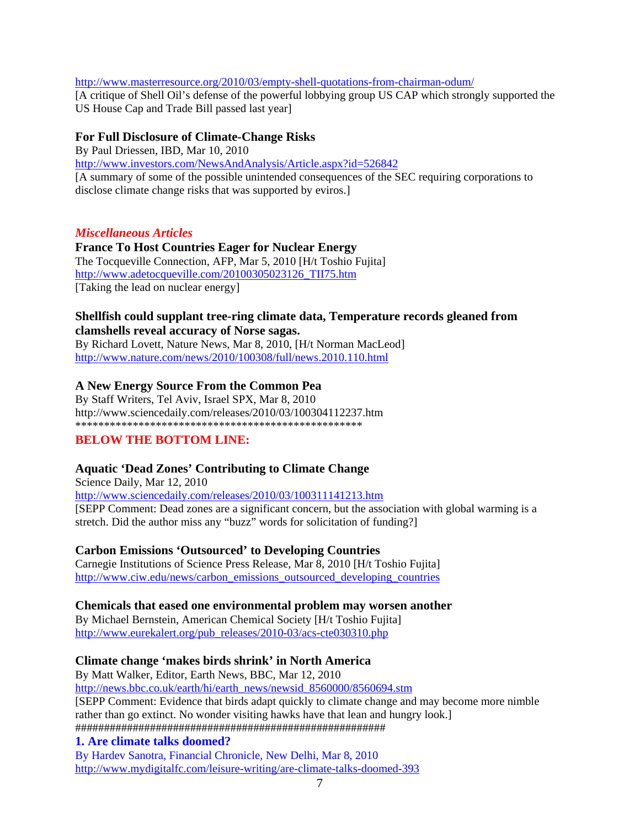http://www.masterresource.org/2010/03/empty-shell-quotations-from-chairman-odum/ [A critique of Shell Oil's defense of the powerful lobbying group US CAP which strongly supported the US House Cap and Trade Bill passed last year]

# **For Full Disclosure of Climate-Change Risks**

By Paul Driessen, IBD, Mar 10, 2010

http://www.investors.com/NewsAndAnalysis/Article.aspx?id=526842 [A summary of some of the possible unintended consequences of the SEC requiring corporations to disclose climate change risks that was supported by eviros.]

# *Miscellaneous Articles*

# **France To Host Countries Eager for Nuclear Energy**

The Tocqueville Connection, AFP, Mar 5, 2010 [H/t Toshio Fujita] http://www.adetocqueville.com/20100305023126\_TII75.htm [Taking the lead on nuclear energy]

# **Shellfish could supplant tree-ring climate data, Temperature records gleaned from clamshells reveal accuracy of Norse sagas.**

By Richard Lovett, Nature News, Mar 8, 2010, [H/t Norman MacLeod] http://www.nature.com/news/2010/100308/full/news.2010.110.html

# **A New Energy Source From the Common Pea**

By Staff Writers, Tel Aviv, Israel SPX, Mar 8, 2010 http://www.sciencedaily.com/releases/2010/03/100304112237.htm \*\*\*\*\*\*\*\*\*\*\*\*\*\*\*\*\*\*\*\*\*\*\*\*\*\*\*\*\*\*\*\*\*\*\*\*\*\*\*\*\*\*\*\*\*\*\*\*\*\*

# **BELOW THE BOTTOM LINE:**

# **Aquatic 'Dead Zones' Contributing to Climate Change**

Science Daily, Mar 12, 2010 http://www.sciencedaily.com/releases/2010/03/100311141213.htm [SEPP Comment: Dead zones are a significant concern, but the association with global warming is a stretch. Did the author miss any "buzz" words for solicitation of funding?]

# **Carbon Emissions 'Outsourced' to Developing Countries**

Carnegie Institutions of Science Press Release, Mar 8, 2010 [H/t Toshio Fujita] http://www.ciw.edu/news/carbon\_emissions\_outsourced\_developing\_countries

# **Chemicals that eased one environmental problem may worsen another**

By Michael Bernstein, American Chemical Society [H/t Toshio Fujita] http://www.eurekalert.org/pub\_releases/2010-03/acs-cte030310.php

# **Climate change 'makes birds shrink' in North America**

By Matt Walker, Editor, Earth News, BBC, Mar 12, 2010

http://news.bbc.co.uk/earth/hi/earth\_news/newsid\_8560000/8560694.stm

[SEPP Comment: Evidence that birds adapt quickly to climate change and may become more nimble rather than go extinct. No wonder visiting hawks have that lean and hungry look.] ######################################################

# **1. Are climate talks doomed?**

By Hardev Sanotra, Financial Chronicle, New Delhi, Mar 8, 2010 http://www.mydigitalfc.com/leisure-writing/are-climate-talks-doomed-393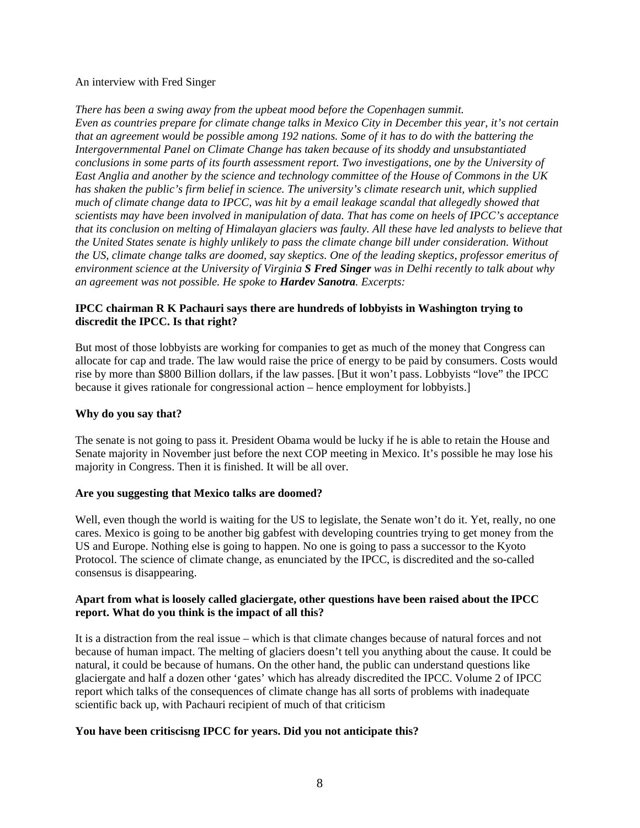#### An interview with Fred Singer

*There has been a swing away from the upbeat mood before the Copenhagen summit. Even as countries prepare for climate change talks in Mexico City in December this year, it's not certain that an agreement would be possible among 192 nations. Some of it has to do with the battering the Intergovernmental Panel on Climate Change has taken because of its shoddy and unsubstantiated conclusions in some parts of its fourth assessment report. Two investigations, one by the University of East Anglia and another by the science and technology committee of the House of Commons in the UK has shaken the public's firm belief in science. The university's climate research unit, which supplied much of climate change data to IPCC, was hit by a email leakage scandal that allegedly showed that scientists may have been involved in manipulation of data. That has come on heels of IPCC's acceptance that its conclusion on melting of Himalayan glaciers was faulty. All these have led analysts to believe that the United States senate is highly unlikely to pass the climate change bill under consideration. Without the US, climate change talks are doomed, say skeptics. One of the leading skeptics, professor emeritus of environment science at the University of Virginia S Fred Singer was in Delhi recently to talk about why an agreement was not possible. He spoke to Hardev Sanotra. Excerpts:* 

### **IPCC chairman R K Pachauri says there are hundreds of lobbyists in Washington trying to discredit the IPCC. Is that right?**

But most of those lobbyists are working for companies to get as much of the money that Congress can allocate for cap and trade. The law would raise the price of energy to be paid by consumers. Costs would rise by more than \$800 Billion dollars, if the law passes. [But it won't pass. Lobbyists "love" the IPCC because it gives rationale for congressional action – hence employment for lobbyists.]

#### **Why do you say that?**

The senate is not going to pass it. President Obama would be lucky if he is able to retain the House and Senate majority in November just before the next COP meeting in Mexico. It's possible he may lose his majority in Congress. Then it is finished. It will be all over.

#### **Are you suggesting that Mexico talks are doomed?**

Well, even though the world is waiting for the US to legislate, the Senate won't do it. Yet, really, no one cares. Mexico is going to be another big gabfest with developing countries trying to get money from the US and Europe. Nothing else is going to happen. No one is going to pass a successor to the Kyoto Protocol. The science of climate change, as enunciated by the IPCC, is discredited and the so-called consensus is disappearing.

#### **Apart from what is loosely called glaciergate, other questions have been raised about the IPCC report. What do you think is the impact of all this?**

It is a distraction from the real issue – which is that climate changes because of natural forces and not because of human impact. The melting of glaciers doesn't tell you anything about the cause. It could be natural, it could be because of humans. On the other hand, the public can understand questions like glaciergate and half a dozen other 'gates' which has already discredited the IPCC. Volume 2 of IPCC report which talks of the consequences of climate change has all sorts of problems with inadequate scientific back up, with Pachauri recipient of much of that criticism

#### **You have been critiscisng IPCC for years. Did you not anticipate this?**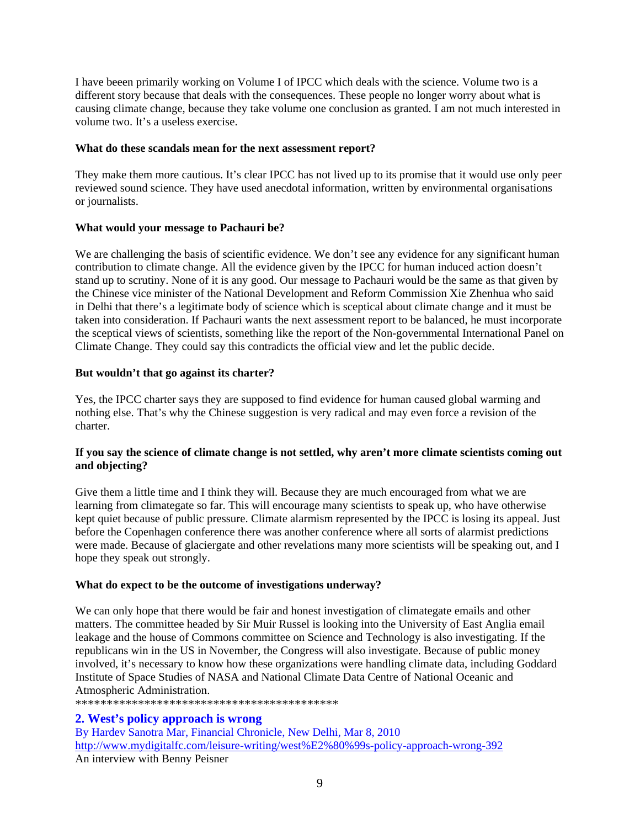I have beeen primarily working on Volume I of IPCC which deals with the science. Volume two is a different story because that deals with the consequences. These people no longer worry about what is causing climate change, because they take volume one conclusion as granted. I am not much interested in volume two. It's a useless exercise.

#### **What do these scandals mean for the next assessment report?**

They make them more cautious. It's clear IPCC has not lived up to its promise that it would use only peer reviewed sound science. They have used anecdotal information, written by environmental organisations or journalists.

#### **What would your message to Pachauri be?**

We are challenging the basis of scientific evidence. We don't see any evidence for any significant human contribution to climate change. All the evidence given by the IPCC for human induced action doesn't stand up to scrutiny. None of it is any good. Our message to Pachauri would be the same as that given by the Chinese vice minister of the National Development and Reform Commission Xie Zhenhua who said in Delhi that there's a legitimate body of science which is sceptical about climate change and it must be taken into consideration. If Pachauri wants the next assessment report to be balanced, he must incorporate the sceptical views of scientists, something like the report of the Non-governmental International Panel on Climate Change. They could say this contradicts the official view and let the public decide.

#### **But wouldn't that go against its charter?**

Yes, the IPCC charter says they are supposed to find evidence for human caused global warming and nothing else. That's why the Chinese suggestion is very radical and may even force a revision of the charter.

### **If you say the science of climate change is not settled, why aren't more climate scientists coming out and objecting?**

Give them a little time and I think they will. Because they are much encouraged from what we are learning from climategate so far. This will encourage many scientists to speak up, who have otherwise kept quiet because of public pressure. Climate alarmism represented by the IPCC is losing its appeal. Just before the Copenhagen conference there was another conference where all sorts of alarmist predictions were made. Because of glaciergate and other revelations many more scientists will be speaking out, and I hope they speak out strongly.

#### **What do expect to be the outcome of investigations underway?**

We can only hope that there would be fair and honest investigation of climategate emails and other matters. The committee headed by Sir Muir Russel is looking into the University of East Anglia email leakage and the house of Commons committee on Science and Technology is also investigating. If the republicans win in the US in November, the Congress will also investigate. Because of public money involved, it's necessary to know how these organizations were handling climate data, including Goddard Institute of Space Studies of NASA and National Climate Data Centre of National Oceanic and Atmospheric Administration.

\*\*\*\*\*\*\*\*\*\*\*\*\*\*\*\*\*\*\*\*\*\*\*\*\*\*\*\*\*\*\*\*\*\*\*\*\*\*\*\*\*\*

# **2. West's policy approach is wrong**

By Hardev Sanotra Mar, Financial Chronicle, New Delhi, Mar 8, 2010 http://www.mydigitalfc.com/leisure-writing/west%E2%80%99s-policy-approach-wrong-392 An interview with Benny Peisner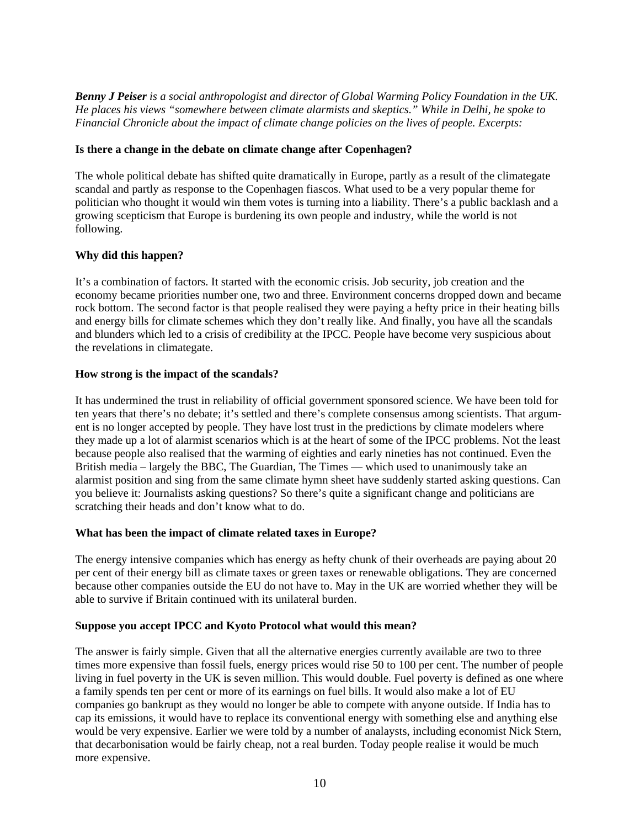*Benny J Peiser is a social anthropologist and director of Global Warming Policy Foundation in the UK. He places his views "somewhere between climate alarmists and skeptics." While in Delhi, he spoke to Financial Chronicle about the impact of climate change policies on the lives of people. Excerpts:*

#### **Is there a change in the debate on climate change after Copenhagen?**

The whole political debate has shifted quite dramatically in Europe, partly as a result of the climategate scandal and partly as response to the Copenhagen fiascos. What used to be a very popular theme for politician who thought it would win them votes is turning into a liability. There's a public backlash and a growing scepticism that Europe is burdening its own people and industry, while the world is not following.

#### **Why did this happen?**

It's a combination of factors. It started with the economic crisis. Job security, job creation and the economy became priorities number one, two and three. Environment concerns dropped down and became rock bottom. The second factor is that people realised they were paying a hefty price in their heating bills and energy bills for climate schemes which they don't really like. And finally, you have all the scandals and blunders which led to a crisis of credibility at the IPCC. People have become very suspicious about the revelations in climategate.

#### **How strong is the impact of the scandals?**

It has undermined the trust in reliability of official government sponsored science. We have been told for ten years that there's no debate; it's settled and there's complete consensus among scientists. That argument is no longer accepted by people. They have lost trust in the predictions by climate modelers where they made up a lot of alarmist scenarios which is at the heart of some of the IPCC problems. Not the least because people also realised that the warming of eighties and early nineties has not continued. Even the British media – largely the BBC, The Guardian, The Times — which used to unanimously take an alarmist position and sing from the same climate hymn sheet have suddenly started asking questions. Can you believe it: Journalists asking questions? So there's quite a significant change and politicians are scratching their heads and don't know what to do.

#### **What has been the impact of climate related taxes in Europe?**

The energy intensive companies which has energy as hefty chunk of their overheads are paying about 20 per cent of their energy bill as climate taxes or green taxes or renewable obligations. They are concerned because other companies outside the EU do not have to. May in the UK are worried whether they will be able to survive if Britain continued with its unilateral burden.

#### **Suppose you accept IPCC and Kyoto Protocol what would this mean?**

The answer is fairly simple. Given that all the alternative energies currently available are two to three times more expensive than fossil fuels, energy prices would rise 50 to 100 per cent. The number of people living in fuel poverty in the UK is seven million. This would double. Fuel poverty is defined as one where a family spends ten per cent or more of its earnings on fuel bills. It would also make a lot of EU companies go bankrupt as they would no longer be able to compete with anyone outside. If India has to cap its emissions, it would have to replace its conventional energy with something else and anything else would be very expensive. Earlier we were told by a number of analaysts, including economist Nick Stern, that decarbonisation would be fairly cheap, not a real burden. Today people realise it would be much more expensive.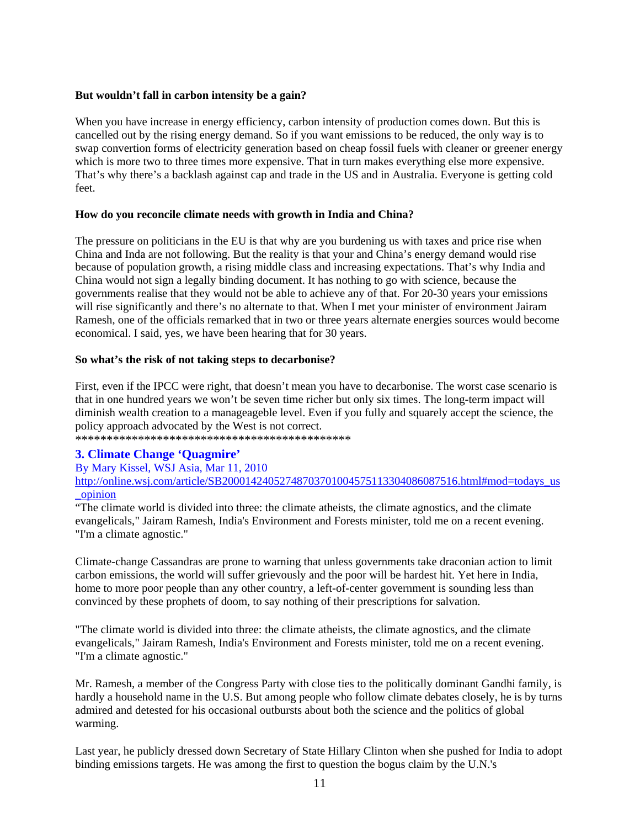#### **But wouldn't fall in carbon intensity be a gain?**

When you have increase in energy efficiency, carbon intensity of production comes down. But this is cancelled out by the rising energy demand. So if you want emissions to be reduced, the only way is to swap convertion forms of electricity generation based on cheap fossil fuels with cleaner or greener energy which is more two to three times more expensive. That in turn makes everything else more expensive. That's why there's a backlash against cap and trade in the US and in Australia. Everyone is getting cold feet.

#### **How do you reconcile climate needs with growth in India and China?**

The pressure on politicians in the EU is that why are you burdening us with taxes and price rise when China and Inda are not following. But the reality is that your and China's energy demand would rise because of population growth, a rising middle class and increasing expectations. That's why India and China would not sign a legally binding document. It has nothing to go with science, because the governments realise that they would not be able to achieve any of that. For 20-30 years your emissions will rise significantly and there's no alternate to that. When I met your minister of environment Jairam Ramesh, one of the officials remarked that in two or three years alternate energies sources would become economical. I said, yes, we have been hearing that for 30 years.

#### **So what's the risk of not taking steps to decarbonise?**

First, even if the IPCC were right, that doesn't mean you have to decarbonise. The worst case scenario is that in one hundred years we won't be seven time richer but only six times. The long-term impact will diminish wealth creation to a manageageble level. Even if you fully and squarely accept the science, the policy approach advocated by the West is not correct.

\*\*\*\*\*\*\*\*\*\*\*\*\*\*\*\*\*\*\*\*\*\*\*\*\*\*\*\*\*\*\*\*\*\*\*\*\*\*\*\*\*\*\*\*

# **3. Climate Change 'Quagmire'**

By Mary Kissel, WSJ Asia, Mar 11, 2010 http://online.wsj.com/article/SB20001424052748703701004575113304086087516.html#mod=todays\_us \_opinion

"The climate world is divided into three: the climate atheists, the climate agnostics, and the climate evangelicals," Jairam Ramesh, India's Environment and Forests minister, told me on a recent evening. "I'm a climate agnostic."

Climate-change Cassandras are prone to warning that unless governments take draconian action to limit carbon emissions, the world will suffer grievously and the poor will be hardest hit. Yet here in India, home to more poor people than any other country, a left-of-center government is sounding less than convinced by these prophets of doom, to say nothing of their prescriptions for salvation.

"The climate world is divided into three: the climate atheists, the climate agnostics, and the climate evangelicals," Jairam Ramesh, India's Environment and Forests minister, told me on a recent evening. "I'm a climate agnostic."

Mr. Ramesh, a member of the Congress Party with close ties to the politically dominant Gandhi family, is hardly a household name in the U.S. But among people who follow climate debates closely, he is by turns admired and detested for his occasional outbursts about both the science and the politics of global warming.

Last year, he publicly dressed down Secretary of State Hillary Clinton when she pushed for India to adopt binding emissions targets. He was among the first to question the bogus claim by the U.N.'s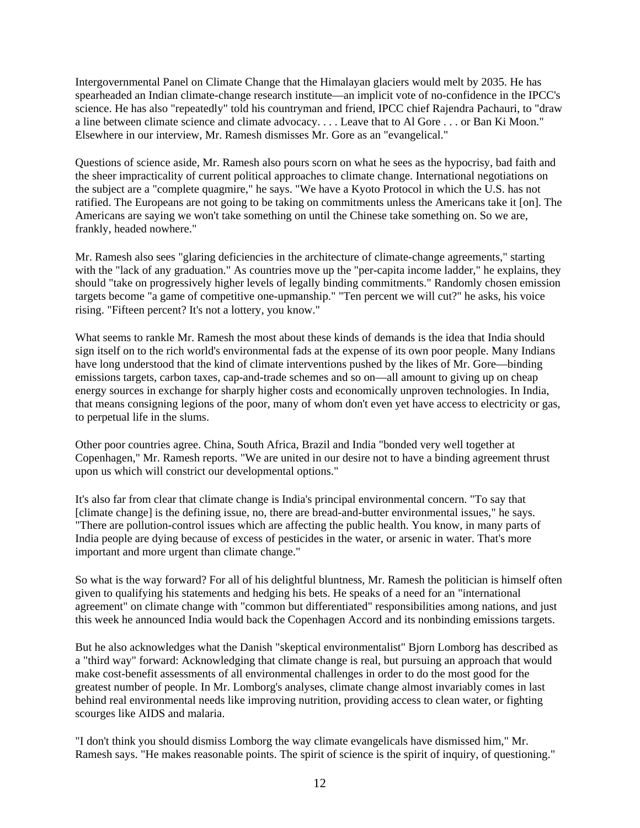Intergovernmental Panel on Climate Change that the Himalayan glaciers would melt by 2035. He has spearheaded an Indian climate-change research institute—an implicit vote of no-confidence in the IPCC's science. He has also "repeatedly" told his countryman and friend, IPCC chief Rajendra Pachauri, to "draw a line between climate science and climate advocacy. . . . Leave that to Al Gore . . . or Ban Ki Moon." Elsewhere in our interview, Mr. Ramesh dismisses Mr. Gore as an "evangelical."

Questions of science aside, Mr. Ramesh also pours scorn on what he sees as the hypocrisy, bad faith and the sheer impracticality of current political approaches to climate change. International negotiations on the subject are a "complete quagmire," he says. "We have a Kyoto Protocol in which the U.S. has not ratified. The Europeans are not going to be taking on commitments unless the Americans take it [on]. The Americans are saying we won't take something on until the Chinese take something on. So we are, frankly, headed nowhere."

Mr. Ramesh also sees "glaring deficiencies in the architecture of climate-change agreements," starting with the "lack of any graduation." As countries move up the "per-capita income ladder," he explains, they should "take on progressively higher levels of legally binding commitments." Randomly chosen emission targets become "a game of competitive one-upmanship." "Ten percent we will cut?" he asks, his voice rising. "Fifteen percent? It's not a lottery, you know."

What seems to rankle Mr. Ramesh the most about these kinds of demands is the idea that India should sign itself on to the rich world's environmental fads at the expense of its own poor people. Many Indians have long understood that the kind of climate interventions pushed by the likes of Mr. Gore—binding emissions targets, carbon taxes, cap-and-trade schemes and so on—all amount to giving up on cheap energy sources in exchange for sharply higher costs and economically unproven technologies. In India, that means consigning legions of the poor, many of whom don't even yet have access to electricity or gas, to perpetual life in the slums.

Other poor countries agree. China, South Africa, Brazil and India "bonded very well together at Copenhagen," Mr. Ramesh reports. "We are united in our desire not to have a binding agreement thrust upon us which will constrict our developmental options."

It's also far from clear that climate change is India's principal environmental concern. "To say that [climate change] is the defining issue, no, there are bread-and-butter environmental issues," he says. "There are pollution-control issues which are affecting the public health. You know, in many parts of India people are dying because of excess of pesticides in the water, or arsenic in water. That's more important and more urgent than climate change."

So what is the way forward? For all of his delightful bluntness, Mr. Ramesh the politician is himself often given to qualifying his statements and hedging his bets. He speaks of a need for an "international agreement" on climate change with "common but differentiated" responsibilities among nations, and just this week he announced India would back the Copenhagen Accord and its nonbinding emissions targets.

But he also acknowledges what the Danish "skeptical environmentalist" Bjorn Lomborg has described as a "third way" forward: Acknowledging that climate change is real, but pursuing an approach that would make cost-benefit assessments of all environmental challenges in order to do the most good for the greatest number of people. In Mr. Lomborg's analyses, climate change almost invariably comes in last behind real environmental needs like improving nutrition, providing access to clean water, or fighting scourges like AIDS and malaria.

"I don't think you should dismiss Lomborg the way climate evangelicals have dismissed him," Mr. Ramesh says. "He makes reasonable points. The spirit of science is the spirit of inquiry, of questioning."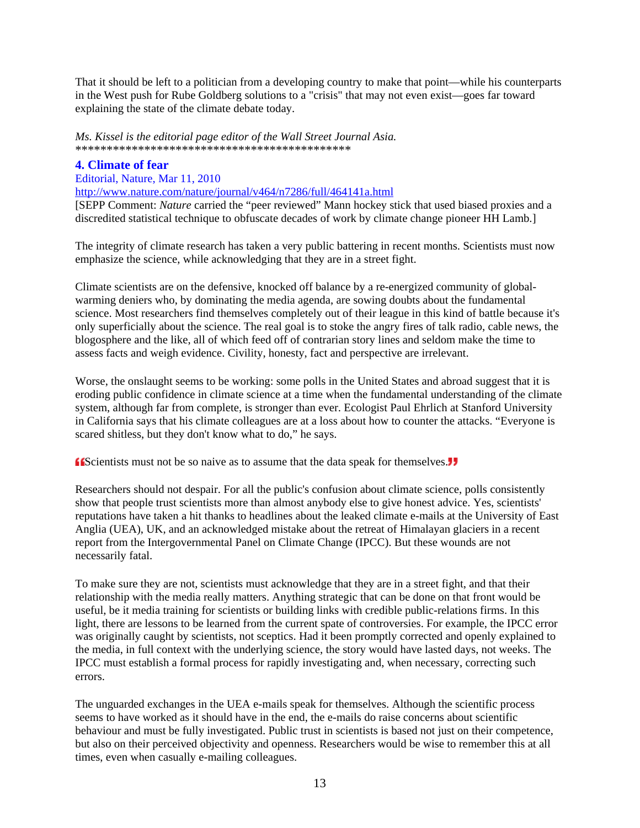That it should be left to a politician from a developing country to make that point—while his counterparts in the West push for Rube Goldberg solutions to a "crisis" that may not even exist—goes far toward explaining the state of the climate debate today.

*Ms. Kissel is the editorial page editor of the Wall Street Journal Asia.* \*\*\*\*\*\*\*\*\*\*\*\*\*\*\*\*\*\*\*\*\*\*\*\*\*\*\*\*\*\*\*\*\*\*\*\*\*\*\*\*\*\*\*\*

#### **4. Climate of fear**

#### Editorial, Nature, Mar 11, 2010

http://www.nature.com/nature/journal/v464/n7286/full/464141a.html

[SEPP Comment: *Nature* carried the "peer reviewed" Mann hockey stick that used biased proxies and a discredited statistical technique to obfuscate decades of work by climate change pioneer HH Lamb.]

The integrity of climate research has taken a very public battering in recent months. Scientists must now emphasize the science, while acknowledging that they are in a street fight.

Climate scientists are on the defensive, knocked off balance by a re-energized community of globalwarming deniers who, by dominating the media agenda, are sowing doubts about the fundamental science. Most researchers find themselves completely out of their league in this kind of battle because it's only superficially about the science. The real goal is to stoke the angry fires of talk radio, cable news, the blogosphere and the like, all of which feed off of contrarian story lines and seldom make the time to assess facts and weigh evidence. Civility, honesty, fact and perspective are irrelevant.

Worse, the onslaught seems to be working: some polls in the United States and abroad suggest that it is eroding public confidence in climate science at a time when the fundamental understanding of the climate system, although far from complete, is stronger than ever. Ecologist Paul Ehrlich at Stanford University in California says that his climate colleagues are at a loss about how to counter the attacks. "Everyone is scared shitless, but they don't know what to do," he says.

**ISCOCITED SCIENCES FOR THE SCIENCES FOR SCIENCES FOR SCIENCES FOR SCIENCES FOR SCIENCES FOR SCIENCES FOR SCIENCES FOR SCIENCES FOR SCIENCES FOR SCIENCES FOR SCIENCES FOR SCIENCES FOR SCIENCES FOR SCIENCES FOR SCIENCES FOR** 

Researchers should not despair. For all the public's confusion about climate science, polls consistently show that people trust scientists more than almost anybody else to give honest advice. Yes, scientists' reputations have taken a hit thanks to headlines about the leaked climate e-mails at the University of East Anglia (UEA), UK, and an acknowledged mistake about the retreat of Himalayan glaciers in a recent report from the Intergovernmental Panel on Climate Change (IPCC). But these wounds are not necessarily fatal.

To make sure they are not, scientists must acknowledge that they are in a street fight, and that their relationship with the media really matters. Anything strategic that can be done on that front would be useful, be it media training for scientists or building links with credible public-relations firms. In this light, there are lessons to be learned from the current spate of controversies. For example, the IPCC error was originally caught by scientists, not sceptics. Had it been promptly corrected and openly explained to the media, in full context with the underlying science, the story would have lasted days, not weeks. The IPCC must establish a formal process for rapidly investigating and, when necessary, correcting such errors.

The unguarded exchanges in the UEA e-mails speak for themselves. Although the scientific process seems to have worked as it should have in the end, the e-mails do raise concerns about scientific behaviour and must be fully investigated. Public trust in scientists is based not just on their competence, but also on their perceived objectivity and openness. Researchers would be wise to remember this at all times, even when casually e-mailing colleagues.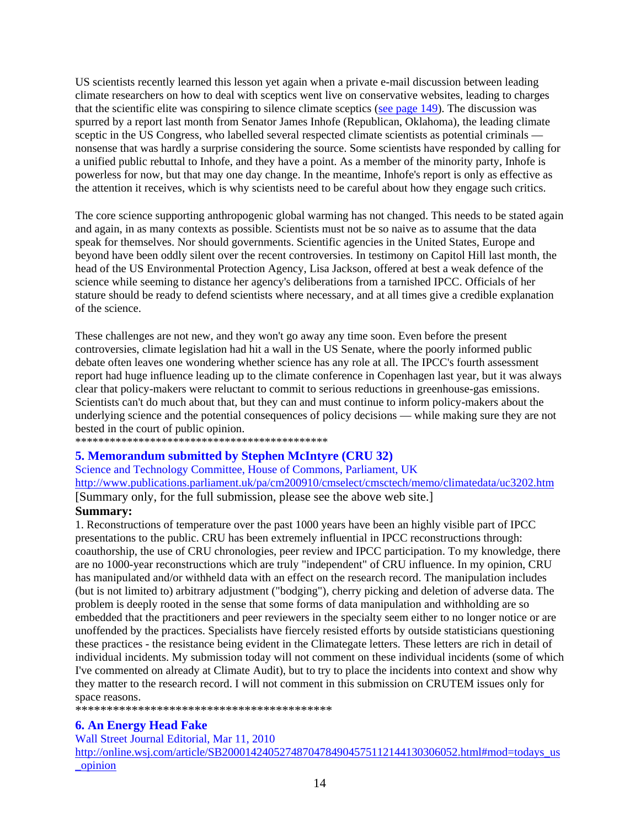US scientists recently learned this lesson yet again when a private e-mail discussion between leading climate researchers on how to deal with sceptics went live on conservative websites, leading to charges that the scientific elite was conspiring to silence climate sceptics (see page 149). The discussion was spurred by a report last month from Senator James Inhofe (Republican, Oklahoma), the leading climate sceptic in the US Congress, who labelled several respected climate scientists as potential criminals nonsense that was hardly a surprise considering the source. Some scientists have responded by calling for a unified public rebuttal to Inhofe, and they have a point. As a member of the minority party, Inhofe is powerless for now, but that may one day change. In the meantime, Inhofe's report is only as effective as the attention it receives, which is why scientists need to be careful about how they engage such critics.

The core science supporting anthropogenic global warming has not changed. This needs to be stated again and again, in as many contexts as possible. Scientists must not be so naive as to assume that the data speak for themselves. Nor should governments. Scientific agencies in the United States, Europe and beyond have been oddly silent over the recent controversies. In testimony on Capitol Hill last month, the head of the US Environmental Protection Agency, Lisa Jackson, offered at best a weak defence of the science while seeming to distance her agency's deliberations from a tarnished IPCC. Officials of her stature should be ready to defend scientists where necessary, and at all times give a credible explanation of the science.

These challenges are not new, and they won't go away any time soon. Even before the present controversies, climate legislation had hit a wall in the US Senate, where the poorly informed public debate often leaves one wondering whether science has any role at all. The IPCC's fourth assessment report had huge influence leading up to the climate conference in Copenhagen last year, but it was always clear that policy-makers were reluctant to commit to serious reductions in greenhouse-gas emissions. Scientists can't do much about that, but they can and must continue to inform policy-makers about the underlying science and the potential consequences of policy decisions — while making sure they are not bested in the court of public opinion.

\*\*\*\*\*\*\*\*\*\*\*\*\*\*\*\*\*\*\*\*\*\*\*\*\*\*\*\*\*\*\*\*\*\*\*\*\*\*\*\*\*\*\*\*

#### **5. Memorandum submitted by Stephen McIntyre (CRU 32)**

Science and Technology Committee, House of Commons, Parliament, UK http://www.publications.parliament.uk/pa/cm200910/cmselect/cmsctech/memo/climatedata/uc3202.htm [Summary only, for the full submission, please see the above web site.] **Summary:**

1. Reconstructions of temperature over the past 1000 years have been an highly visible part of IPCC presentations to the public. CRU has been extremely influential in IPCC reconstructions through: coauthorship, the use of CRU chronologies, peer review and IPCC participation. To my knowledge, there are no 1000-year reconstructions which are truly "independent" of CRU influence. In my opinion, CRU has manipulated and/or withheld data with an effect on the research record. The manipulation includes (but is not limited to) arbitrary adjustment ("bodging"), cherry picking and deletion of adverse data. The problem is deeply rooted in the sense that some forms of data manipulation and withholding are so embedded that the practitioners and peer reviewers in the specialty seem either to no longer notice or are unoffended by the practices. Specialists have fiercely resisted efforts by outside statisticians questioning these practices - the resistance being evident in the Climategate letters. These letters are rich in detail of individual incidents. My submission today will not comment on these individual incidents (some of which I've commented on already at Climate Audit), but to try to place the incidents into context and show why they matter to the research record. I will not comment in this submission on CRUTEM issues only for space reasons.

\*\*\*\*\*\*\*\*\*\*\*\*\*\*\*\*\*\*\*\*\*\*\*\*\*\*\*\*\*\*\*\*\*\*\*\*\*\*\*\*\*

#### **6. An Energy Head Fake**

#### Wall Street Journal Editorial, Mar 11, 2010

http://online.wsj.com/article/SB20001424052748704784904575112144130306052.html#mod=todays\_us \_opinion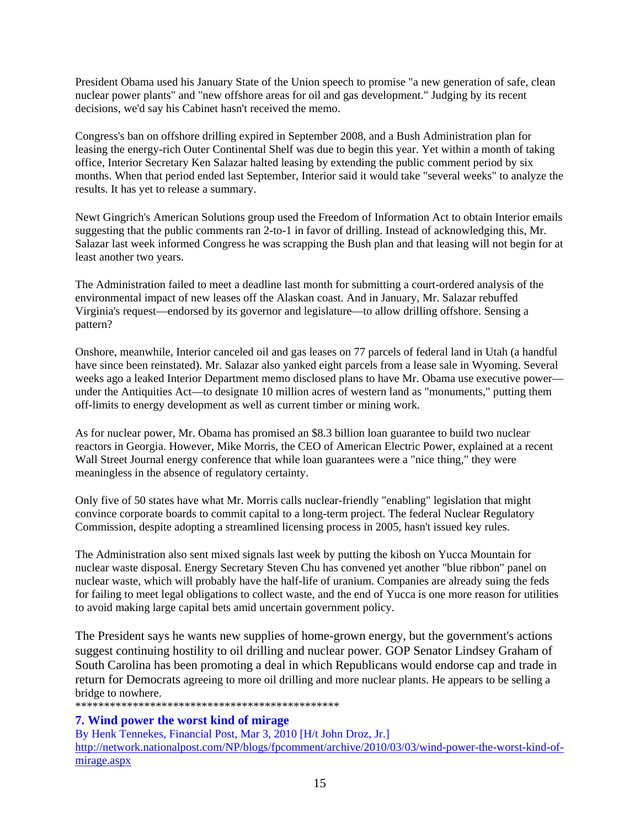President Obama used his January State of the Union speech to promise "a new generation of safe, clean nuclear power plants" and "new offshore areas for oil and gas development." Judging by its recent decisions, we'd say his Cabinet hasn't received the memo.

Congress's ban on offshore drilling expired in September 2008, and a Bush Administration plan for leasing the energy-rich Outer Continental Shelf was due to begin this year. Yet within a month of taking office, Interior Secretary Ken Salazar halted leasing by extending the public comment period by six months. When that period ended last September, Interior said it would take "several weeks" to analyze the results. It has yet to release a summary.

Newt Gingrich's American Solutions group used the Freedom of Information Act to obtain Interior emails suggesting that the public comments ran 2-to-1 in favor of drilling. Instead of acknowledging this, Mr. Salazar last week informed Congress he was scrapping the Bush plan and that leasing will not begin for at least another two years.

The Administration failed to meet a deadline last month for submitting a court-ordered analysis of the environmental impact of new leases off the Alaskan coast. And in January, Mr. Salazar rebuffed Virginia's request—endorsed by its governor and legislature—to allow drilling offshore. Sensing a pattern?

Onshore, meanwhile, Interior canceled oil and gas leases on 77 parcels of federal land in Utah (a handful have since been reinstated). Mr. Salazar also yanked eight parcels from a lease sale in Wyoming. Several weeks ago a leaked Interior Department memo disclosed plans to have Mr. Obama use executive power under the Antiquities Act—to designate 10 million acres of western land as "monuments," putting them off-limits to energy development as well as current timber or mining work.

As for nuclear power, Mr. Obama has promised an \$8.3 billion loan guarantee to build two nuclear reactors in Georgia. However, Mike Morris, the CEO of American Electric Power, explained at a recent Wall Street Journal energy conference that while loan guarantees were a "nice thing," they were meaningless in the absence of regulatory certainty.

Only five of 50 states have what Mr. Morris calls nuclear-friendly "enabling" legislation that might convince corporate boards to commit capital to a long-term project. The federal Nuclear Regulatory Commission, despite adopting a streamlined licensing process in 2005, hasn't issued key rules.

The Administration also sent mixed signals last week by putting the kibosh on Yucca Mountain for nuclear waste disposal. Energy Secretary Steven Chu has convened yet another "blue ribbon" panel on nuclear waste, which will probably have the half-life of uranium. Companies are already suing the feds for failing to meet legal obligations to collect waste, and the end of Yucca is one more reason for utilities to avoid making large capital bets amid uncertain government policy.

The President says he wants new supplies of home-grown energy, but the government's actions suggest continuing hostility to oil drilling and nuclear power. GOP Senator Lindsey Graham of South Carolina has been promoting a deal in which Republicans would endorse cap and trade in return for Democrats agreeing to more oil drilling and more nuclear plants. He appears to be selling a bridge to nowhere.

\*\*\*\*\*\*\*\*\*\*\*\*\*\*\*\*\*\*\*\*\*\*\*\*\*\*\*\*\*\*\*\*\*\*\*\*\*\*\*\*\*\*\*\*\*\*

#### **7. Wind power the worst kind of mirage**

By Henk Tennekes, Financial Post, Mar 3, 2010 [H/t John Droz, Jr.] http://network.nationalpost.com/NP/blogs/fpcomment/archive/2010/03/03/wind-power-the-worst-kind-ofmirage.aspx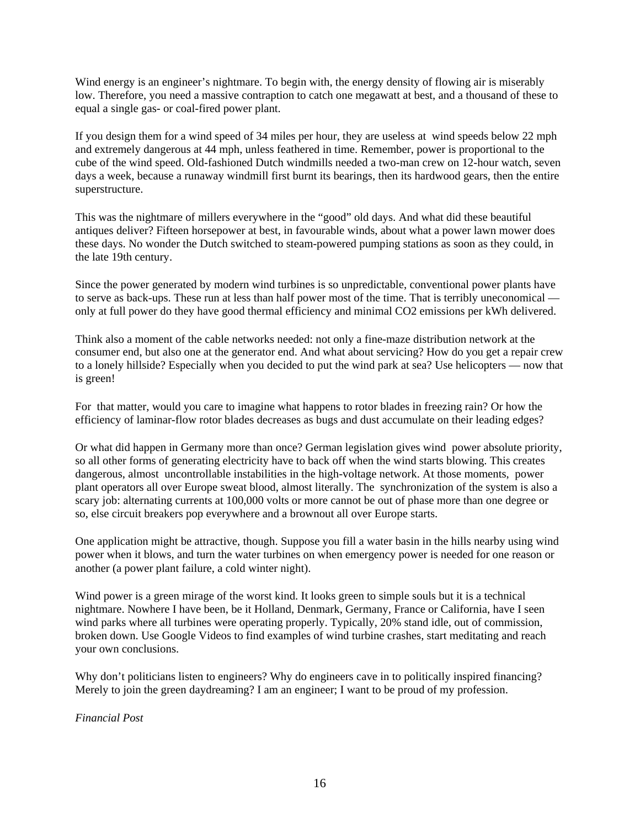Wind energy is an engineer's nightmare. To begin with, the energy density of flowing air is miserably low. Therefore, you need a massive contraption to catch one megawatt at best, and a thousand of these to equal a single gas- or coal-fired power plant.

If you design them for a wind speed of 34 miles per hour, they are useless at wind speeds below 22 mph and extremely dangerous at 44 mph, unless feathered in time. Remember, power is proportional to the cube of the wind speed. Old-fashioned Dutch windmills needed a two-man crew on 12-hour watch, seven days a week, because a runaway windmill first burnt its bearings, then its hardwood gears, then the entire superstructure.

This was the nightmare of millers everywhere in the "good" old days. And what did these beautiful antiques deliver? Fifteen horsepower at best, in favourable winds, about what a power lawn mower does these days. No wonder the Dutch switched to steam-powered pumping stations as soon as they could, in the late 19th century.

Since the power generated by modern wind turbines is so unpredictable, conventional power plants have to serve as back-ups. These run at less than half power most of the time. That is terribly uneconomical only at full power do they have good thermal efficiency and minimal CO2 emissions per kWh delivered.

Think also a moment of the cable networks needed: not only a fine-maze distribution network at the consumer end, but also one at the generator end. And what about servicing? How do you get a repair crew to a lonely hillside? Especially when you decided to put the wind park at sea? Use helicopters — now that is green!

For that matter, would you care to imagine what happens to rotor blades in freezing rain? Or how the efficiency of laminar-flow rotor blades decreases as bugs and dust accumulate on their leading edges?

Or what did happen in Germany more than once? German legislation gives wind power absolute priority, so all other forms of generating electricity have to back off when the wind starts blowing. This creates dangerous, almost uncontrollable instabilities in the high-voltage network. At those moments, power plant operators all over Europe sweat blood, almost literally. The synchronization of the system is also a scary job: alternating currents at 100,000 volts or more cannot be out of phase more than one degree or so, else circuit breakers pop everywhere and a brownout all over Europe starts.

One application might be attractive, though. Suppose you fill a water basin in the hills nearby using wind power when it blows, and turn the water turbines on when emergency power is needed for one reason or another (a power plant failure, a cold winter night).

Wind power is a green mirage of the worst kind. It looks green to simple souls but it is a technical nightmare. Nowhere I have been, be it Holland, Denmark, Germany, France or California, have I seen wind parks where all turbines were operating properly. Typically, 20% stand idle, out of commission, broken down. Use Google Videos to find examples of wind turbine crashes, start meditating and reach your own conclusions.

Why don't politicians listen to engineers? Why do engineers cave in to politically inspired financing? Merely to join the green daydreaming? I am an engineer; I want to be proud of my profession.

*Financial Post*